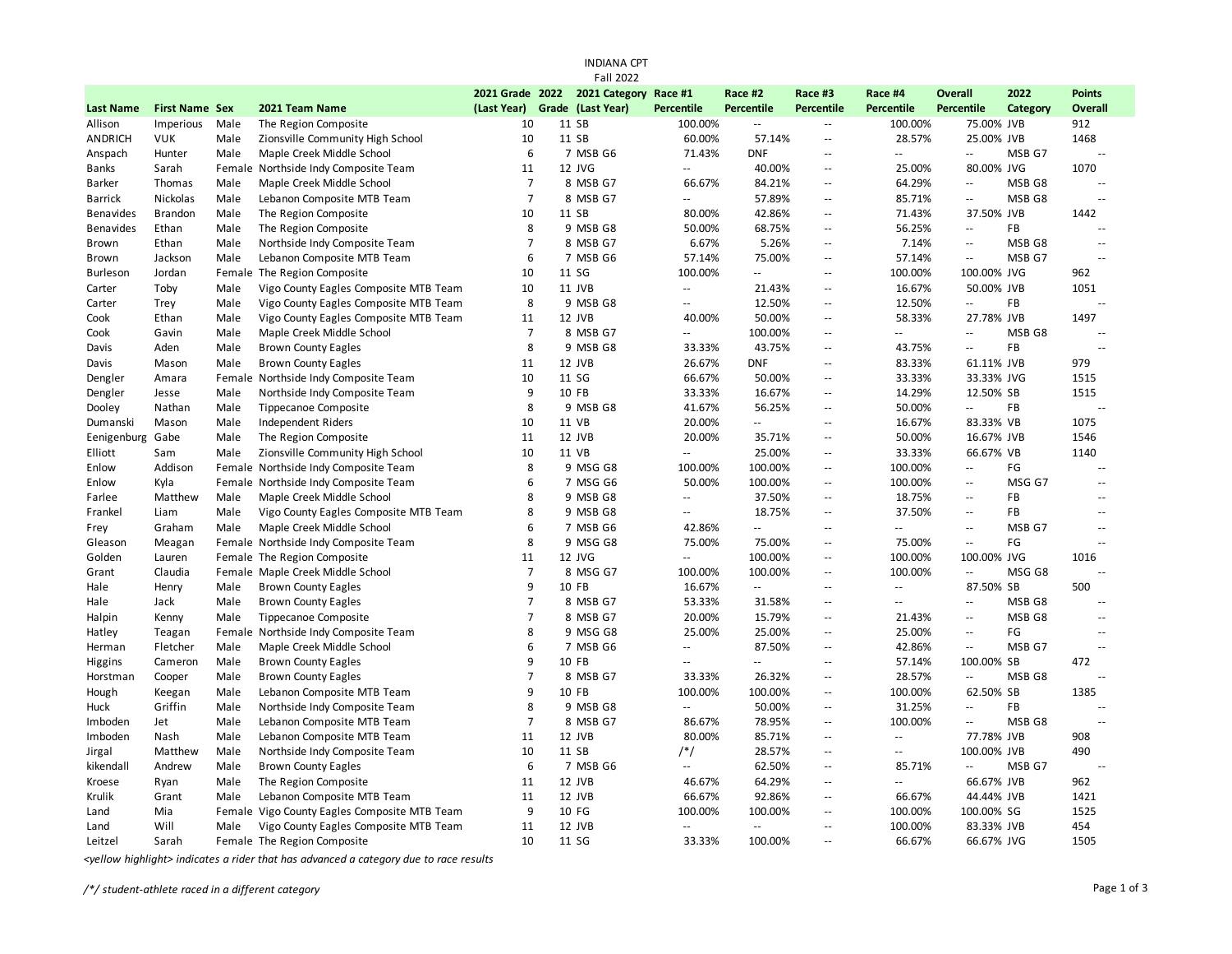| <b>INDIANA CPT</b>          |                                    |              |                                                                   |                   |  |                               |                                      |                                    |                                        |                             |                             |                   |                |
|-----------------------------|------------------------------------|--------------|-------------------------------------------------------------------|-------------------|--|-------------------------------|--------------------------------------|------------------------------------|----------------------------------------|-----------------------------|-----------------------------|-------------------|----------------|
|                             |                                    |              |                                                                   |                   |  | <b>Fall 2022</b>              |                                      |                                    |                                        |                             |                             |                   |                |
|                             |                                    |              |                                                                   |                   |  | 2021 Grade 2022 2021 Category | Race #1                              | Race #2                            | Race #3                                | Race #4                     | <b>Overall</b>              | 2022              | <b>Points</b>  |
| <b>Last Name</b><br>Allison | <b>First Name Sex</b><br>Imperious | Male         | 2021 Team Name<br>The Region Composite                            | (Last Year)<br>10 |  | Grade (Last Year)<br>11 SB    | <b>Percentile</b><br>100.00%         | Percentile<br>Ξ.                   | Percentile<br>$\overline{\phantom{a}}$ | Percentile<br>100.00%       | Percentile<br>75.00% JVB    | Category          | Overall<br>912 |
| ANDRICH                     | <b>VUK</b>                         | Male         | Zionsville Community High School                                  | 10                |  | 11 SB                         | 60.00%                               | 57.14%                             | $\overline{\phantom{a}}$               | 28.57%                      | 25.00% JVB                  |                   | 1468           |
|                             | Hunter                             | Male         | Maple Creek Middle School                                         | 6                 |  | 7 MSB G6                      | 71.43%                               | <b>DNF</b>                         | $\overline{\phantom{a}}$               | $\mathcal{L}_{\mathcal{F}}$ | $\mathbb{L}^2$              | MSB G7            | $\sim$         |
| Anspach<br>Banks            | Sarah                              |              |                                                                   | 11                |  | 12 JVG                        | Ξ.                                   | 40.00%                             | Ξ.                                     | 25.00%                      | 80.00% JVG                  |                   | 1070           |
| Barker                      | Thomas                             | Male         | Female Northside Indy Composite Team<br>Maple Creek Middle School | $\overline{7}$    |  | 8 MSB G7                      | 66.67%                               | 84.21%                             | Ξ.                                     | 64.29%                      | $\overline{\phantom{a}}$    | MSB <sub>G8</sub> | $\sim$         |
| <b>Barrick</b>              | Nickolas                           | Male         | Lebanon Composite MTB Team                                        | $\overline{7}$    |  | 8 MSB G7                      | Ξ.                                   | 57.89%                             | $\mathbf{u}$                           | 85.71%                      | $\mathbb{L}^{\mathbb{L}}$   | MSB G8            | $\sim$ $\sim$  |
| <b>Benavides</b>            | <b>Brandon</b>                     |              |                                                                   | 10                |  | 11 SB                         | 80.00%                               | 42.86%                             | $\overline{\phantom{a}}$               | 71.43%                      | 37.50% JVB                  |                   | 1442           |
| <b>Benavides</b>            | Ethan                              | Male<br>Male | The Region Composite                                              | 8                 |  | 9 MSB G8                      |                                      | 68.75%                             | $\overline{\phantom{a}}$               | 56.25%                      | $\overline{\phantom{a}}$    | <b>FB</b>         | $\sim$         |
|                             |                                    |              | The Region Composite                                              | $\overline{7}$    |  |                               | 50.00%                               |                                    | $\sim$ $\sim$                          |                             | $\sim$ $\sim$               | MSB G8            | $\sim$         |
| Brown                       | Ethan                              | Male         | Northside Indy Composite Team                                     |                   |  | 8 MSB G7                      | 6.67%                                | 5.26%                              |                                        | 7.14%                       | $\sim$                      |                   |                |
| Brown                       | Jackson                            | Male         | Lebanon Composite MTB Team                                        | 6                 |  | 7 MSB G6                      | 57.14%                               | 75.00%<br>$\overline{\phantom{a}}$ | $\overline{\phantom{a}}$               | 57.14%                      |                             | MSB G7            |                |
| Burleson                    | Jordan                             |              | Female The Region Composite                                       | 10                |  | 11 SG                         | 100.00%<br>$\mathbb{Z}^{\mathbb{Z}}$ |                                    | $\mathbf{u}$<br>$\sim$ $\sim$          | 100.00%                     | 100.00% JVG                 |                   | 962            |
| Carter                      | Toby                               | Male         | Vigo County Eagles Composite MTB Team                             | 10                |  | 11 JVB                        |                                      | 21.43%                             |                                        | 16.67%                      | 50.00% JVB                  |                   | 1051           |
| Carter                      | Trey                               | Male         | Vigo County Eagles Composite MTB Team                             | 8                 |  | 9 MSB G8                      | Ξ.                                   | 12.50%                             | $\overline{\phantom{a}}$               | 12.50%                      | $\mathcal{L}_{\mathcal{F}}$ | FB                | $\sim$ $\sim$  |
| Cook                        | Ethan                              | Male         | Vigo County Eagles Composite MTB Team                             | 11                |  | 12 JVB                        | 40.00%                               | 50.00%                             | $\sim$ $\sim$                          | 58.33%                      | 27.78% JVB                  |                   | 1497           |
| Cook                        | Gavin                              | Male         | Maple Creek Middle School                                         | $\overline{7}$    |  | 8 MSB G7                      | Щ,                                   | 100.00%                            | Ξ.                                     | Ξ.                          | $\mathbb{L}^2$              | MSB G8            | $\sim$         |
| Davis                       | Aden                               | Male         | <b>Brown County Eagles</b>                                        | 8                 |  | 9 MSB G8                      | 33.33%                               | 43.75%                             | $\overline{\phantom{a}}$               | 43.75%                      | $\mathbf{L}$                | FB                | $\sim$         |
| Davis                       | Mason                              | Male         | <b>Brown County Eagles</b>                                        | 11                |  | 12 JVB                        | 26.67%                               | <b>DNF</b>                         | $\overline{\phantom{a}}$               | 83.33%                      | 61.11% JVB                  |                   | 979            |
| Dengler                     | Amara                              | Female       | Northside Indy Composite Team                                     | 10                |  | 11 SG                         | 66.67%                               | 50.00%                             | $\overline{\phantom{a}}$               | 33.33%                      | 33.33% JVG                  |                   | 1515           |
| Dengler                     | Jesse                              | Male         | Northside Indy Composite Team                                     | 9                 |  | 10 FB                         | 33.33%                               | 16.67%                             | $\overline{\phantom{a}}$               | 14.29%                      | 12.50% SB                   |                   | 1515           |
| Dooley                      | Nathan                             | Male         | Tippecanoe Composite                                              | 8                 |  | 9 MSB G8                      | 41.67%                               | 56.25%                             | $\sim$ $\sim$                          | 50.00%                      | ω.                          | FB                |                |
| Dumanski                    | Mason                              | Male         | Independent Riders                                                | 10                |  | 11 VB                         | 20.00%                               | $\overline{\phantom{a}}$           | $\overline{\phantom{a}}$               | 16.67%                      | 83.33% VB                   |                   | 1075           |
| Eenigenburg                 | Gabe                               | Male         | The Region Composite                                              | 11                |  | 12 JVB                        | 20.00%                               | 35.71%                             | $\mathbf{u}$                           | 50.00%                      | 16.67% JVB                  |                   | 1546           |
| Elliott                     | Sam                                | Male         | Zionsville Community High School                                  | 10                |  | 11 VB                         | $\mathbb{L}^2$                       | 25.00%                             | $\overline{\phantom{a}}$               | 33.33%                      | 66.67% VB                   |                   | 1140           |
| Enlow                       | Addison                            | Female       | Northside Indy Composite Team                                     | 8                 |  | 9 MSG G8                      | 100.00%                              | 100.00%                            | $\overline{\phantom{a}}$               | 100.00%                     | $\overline{\phantom{a}}$    | FG                | $\sim$         |
| Enlow                       | Kyla                               |              | Female Northside Indy Composite Team                              | 6                 |  | 7 MSG G6                      | 50.00%                               | 100.00%                            | $\overline{\phantom{a}}$               | 100.00%                     | $\sim$ $\sim$               | MSG G7            | $\sim$         |
| Farlee                      | Matthew                            | Male         | Maple Creek Middle School                                         | 8                 |  | 9 MSB G8                      | $\sim$ $\sim$                        | 37.50%                             | $\overline{\phantom{a}}$               | 18.75%                      | $\sim$ $\sim$               | FB                |                |
| Frankel                     | Liam                               | Male         | Vigo County Eagles Composite MTB Team                             | 8                 |  | 9 MSB G8                      | $\mathbb{Z}^{\mathbb{Z}}$            | 18.75%                             | $\overline{\phantom{a}}$               | 37.50%                      | $\sim$ $\sim$               | FB                | $\sim$         |
| Frey                        | Graham                             | Male         | Maple Creek Middle School                                         | 6                 |  | 7 MSB G6                      | 42.86%                               | Щ.                                 | $\overline{\phantom{a}}$               | $\sim$                      | $\sim$                      | MSB G7            | $\sim$         |
| Gleason                     | Meagan                             | Female       | Northside Indy Composite Team                                     | 8                 |  | 9 MSG G8                      | 75.00%                               | 75.00%                             | $\overline{\phantom{a}}$               | 75.00%                      | ÷.                          | FG                | $\mathbf{L}$   |
| Golden                      | Lauren                             |              | Female The Region Composite                                       | 11                |  | 12 JVG                        | u.                                   | 100.00%                            | $\overline{\phantom{a}}$               | 100.00%                     | 100.00% JVG                 |                   | 1016           |
| Grant                       | Claudia                            |              | Female Maple Creek Middle School                                  | $\overline{7}$    |  | 8 MSG G7                      | 100.00%                              | 100.00%                            | Ξ.                                     | 100.00%                     | $\overline{\phantom{a}}$    | MSG G8            | $\overline{a}$ |
| Hale                        | Henry                              | Male         | <b>Brown County Eagles</b>                                        | 9                 |  | 10 FB                         | 16.67%                               | $-$                                | $\sim$ $\sim$                          | $\sim$                      | 87.50% SB                   |                   | 500            |
| Hale                        | Jack                               | Male         | <b>Brown County Eagles</b>                                        | $\overline{7}$    |  | 8 MSB G7                      | 53.33%                               | 31.58%                             | $\overline{\phantom{a}}$               | $\sim$ $\sim$               | $\sim$                      | MSB G8            | $\overline{a}$ |
| Halpin                      | Kenny                              | Male         | Tippecanoe Composite                                              | $\overline{7}$    |  | 8 MSB G7                      | 20.00%                               | 15.79%                             | $\overline{\phantom{a}}$               | 21.43%                      | $\sim$                      | MSB G8            | $\sim$ $\sim$  |
| Hatley                      | Teagan                             | Female       | Northside Indy Composite Team                                     | 8                 |  | 9 MSG G8                      | 25.00%                               | 25.00%                             | $\overline{\phantom{a}}$               | 25.00%                      | $\overline{\phantom{a}}$    | FG                | $\sim$ $\sim$  |
| Herman                      | Fletcher                           | Male         | Maple Creek Middle School                                         | 6                 |  | 7 MSB G6                      | $\mathbb{L}^2$                       | 87.50%                             | $\sim$ $\sim$                          | 42.86%                      | $\mathcal{L}_{\mathcal{A}}$ | MSB G7            | $\sim$         |
| Higgins                     | Cameron                            | Male         | <b>Brown County Eagles</b>                                        | 9                 |  | 10 FB                         | Ξ.                                   | $\sim$                             | $\overline{\phantom{a}}$               | 57.14%                      | 100.00% SB                  |                   | 472            |
| Horstman                    | Cooper                             | Male         | <b>Brown County Eagles</b>                                        | $\overline{7}$    |  | 8 MSB G7                      | 33.33%                               | 26.32%                             | $\overline{\phantom{a}}$               | 28.57%                      | $\mathcal{L}_{\mathcal{F}}$ | MSB G8            | $\sim$         |
| Hough                       | Keegan                             | Male         | Lebanon Composite MTB Team                                        | 9                 |  | 10 FB                         | 100.00%                              | 100.00%                            | $\sim$ $\sim$                          | 100.00%                     | 62.50% SB                   |                   | 1385           |
| Huck                        | Griffin                            | Male         | Northside Indy Composite Team                                     | 8                 |  | 9 MSB G8                      | Ξ.                                   | 50.00%                             | $\overline{\phantom{a}}$               | 31.25%                      | $\mathbb{L}^2$              | FB                | $\ddotsc$      |
| Imboden                     | Jet                                | Male         | Lebanon Composite MTB Team                                        | $\overline{7}$    |  | 8 MSB G7                      | 86.67%                               | 78.95%                             | $\overline{\phantom{a}}$               | 100.00%                     | $\sim$ $\sim$               | MSB G8            | $\sim$         |
| Imboden                     | Nash                               | Male         | Lebanon Composite MTB Team                                        | 11                |  | 12 JVB                        | 80.00%                               | 85.71%                             | Ξ.                                     | $\overline{\phantom{a}}$    | 77.78% JVB                  |                   | 908            |
| Jirgal                      | Matthew                            | Male         | Northside Indy Composite Team                                     | 10                |  | 11 SB                         | $/*/$                                | 28.57%                             | Ξ.                                     | $\sim$ $\sim$               | 100.00% JVB                 |                   | 490            |
| kikendall                   | Andrew                             | Male         | <b>Brown County Eagles</b>                                        | 6                 |  | 7 MSB G6                      | $\sim$ $\sim$                        | 62.50%                             | $\sim$ $\sim$                          | 85.71%                      | $\sim$                      | MSB G7            | $\sim$         |
| Kroese                      | Ryan                               | Male         | The Region Composite                                              | 11                |  | 12 JVB                        | 46.67%                               | 64.29%                             | $\overline{\phantom{a}}$               | $\mathcal{L}_{\mathcal{F}}$ | 66.67% JVB                  |                   | 962            |
| Krulik                      | Grant                              | Male         | Lebanon Composite MTB Team                                        | 11                |  | 12 JVB                        | 66.67%                               | 92.86%                             | $\mathbf{u}$                           | 66.67%                      | 44.44% JVB                  |                   | 1421           |
| Land                        | Mia                                |              | Female Vigo County Eagles Composite MTB Team                      | 9                 |  | 10 FG                         | 100.00%                              | 100.00%                            | $\sim$ $\sim$                          | 100.00%                     | 100.00% SG                  |                   | 1525           |
| Land                        | Will                               | Male         | Vigo County Eagles Composite MTB Team                             | 11                |  | 12 JVB                        | $\overline{\phantom{a}}$             | $\mathcal{L} =$                    | $\overline{\phantom{a}}$               | 100.00%                     | 83.33% JVB                  |                   | 454            |
| Leitzel                     | Sarah                              |              | Female The Region Composite                                       | 10                |  | 11 SG                         | 33.33%                               | 100.00%                            | $\sim$ $\sim$                          | 66.67%                      | 66.67% JVG                  |                   | 1505           |

*<yellow highlight> indicates a rider that has advanced a category due to race results*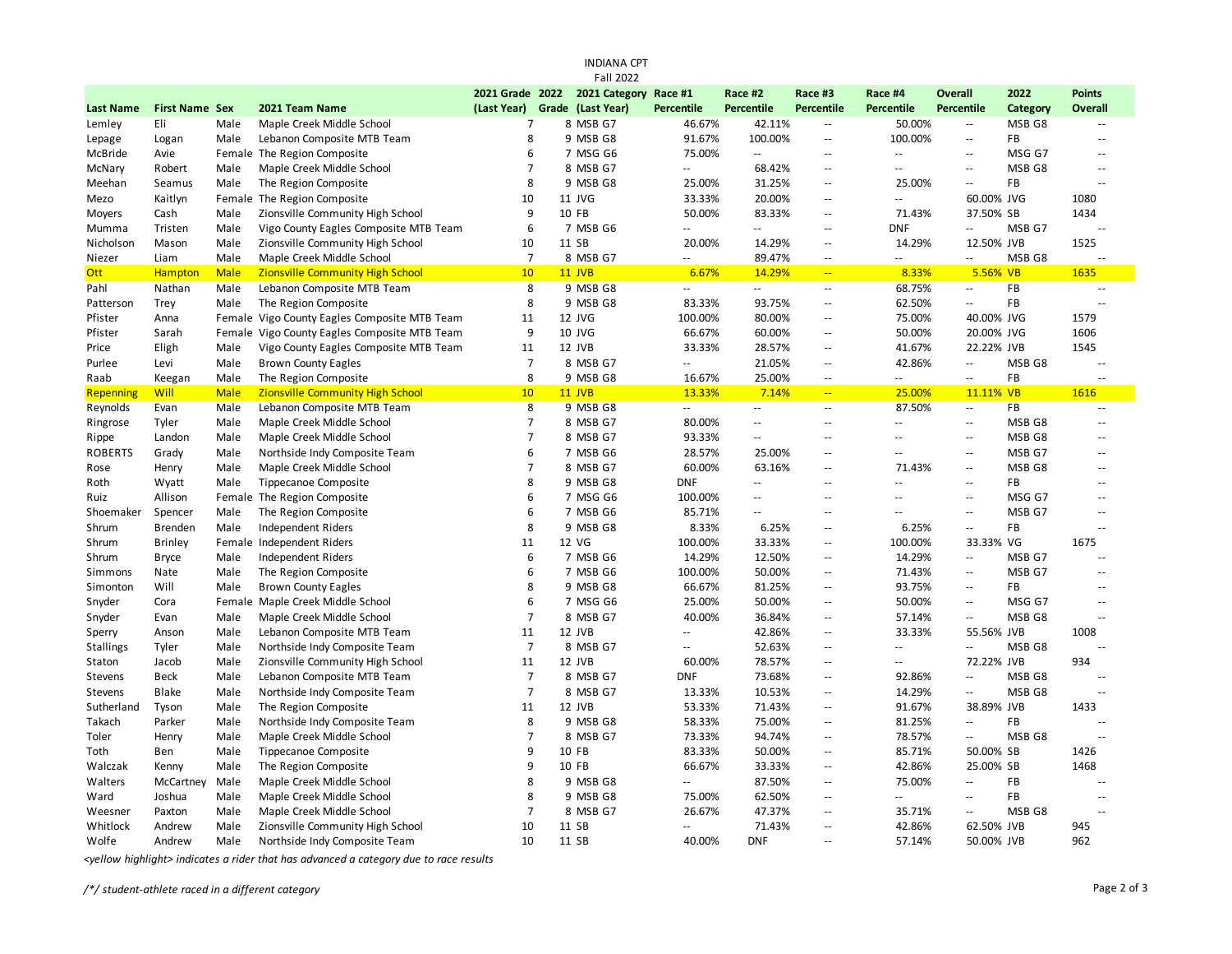| <b>INDIANA CPT</b> |                       |             |                                         |                 |  |                       |                           |                          |                             |                             |                                               |                   |                |
|--------------------|-----------------------|-------------|-----------------------------------------|-----------------|--|-----------------------|---------------------------|--------------------------|-----------------------------|-----------------------------|-----------------------------------------------|-------------------|----------------|
|                    |                       |             |                                         |                 |  | <b>Fall 2022</b>      |                           |                          |                             |                             |                                               |                   |                |
|                    |                       |             |                                         | 2021 Grade 2022 |  | 2021 Category Race #1 |                           | Race #2                  | Race #3                     | Race #4                     | <b>Overall</b>                                | 2022              | <b>Points</b>  |
| <b>Last Name</b>   | <b>First Name Sex</b> |             | 2021 Team Name                          | (Last Year)     |  | Grade (Last Year)     | <b>Percentile</b>         | <b>Percentile</b>        | <b>Percentile</b>           | Percentile                  | Percentile                                    | Category          | Overall        |
| Lemley             | Eli                   | Male        | Maple Creek Middle School               | 7               |  | 8 MSB G7              | 46.67%                    | 42.11%                   | $\overline{\phantom{a}}$    | 50.00%                      | $\overline{\phantom{a}}$                      | MSB G8            | $\sim$ $\sim$  |
| Lepage             | Logan                 | Male        | Lebanon Composite MTB Team              | 8               |  | 9 MSB G8              | 91.67%                    | 100.00%                  | $\mathbb{L}$                | 100.00%                     | $\overline{\phantom{a}}$                      | FB                | $\mathbf{L}$   |
| McBride            | Avie                  |             | Female The Region Composite             | 6               |  | 7 MSG G6              | 75.00%                    | $\mathbb{Z}^2$           | $\sim$ $\sim$               | $\mathcal{L}_{\mathcal{F}}$ | $\sim$ $\sim$                                 | MSG G7            | $\sim$ $\sim$  |
| McNary             | Robert                | Male        | Maple Creek Middle School               | $\overline{7}$  |  | 8 MSB G7              | Щ,                        | 68.42%                   | $\mathbb{L}$                | $\sim$ $\sim$               | $\sim$ $\sim$                                 | MSB <sub>G8</sub> | $\sim$ $\sim$  |
| Meehan             | Seamus                | Male        | The Region Composite                    | 8               |  | 9 MSB G8              | 25.00%                    | 31.25%                   | $\overline{\phantom{a}}$    | 25.00%                      | $\overline{a}$                                | FB                | $\sim$         |
| Mezo               | Kaitlyn               |             | Female The Region Composite             | 10              |  | 11 JVG                | 33.33%                    | 20.00%                   | $\overline{\phantom{a}}$    | $\mathcal{L} =$             | 60.00% JVG                                    |                   | 1080           |
| Moyers             | Cash                  | Male        | Zionsville Community High School        | 9               |  | 10 FB                 | 50.00%                    | 83.33%                   | $\overline{\phantom{a}}$    | 71.43%                      | 37.50% SB                                     |                   | 1434           |
| Mumma              | Tristen               | Male        | Vigo County Eagles Composite MTB Team   | 6               |  | 7 MSB G6              | Щ,                        | $\mathbb{Z}^2$           | $\overline{\phantom{a}}$    | <b>DNF</b>                  | $\overline{\phantom{a}}$                      | MSB G7            | $\sim$         |
| Nicholson          | Mason                 | Male        | Zionsville Community High School        | 10              |  | 11 SB                 | 20.00%                    | 14.29%                   | $\mathcal{L}_{\mathcal{A}}$ | 14.29%                      | 12.50% JVB                                    |                   | 1525           |
| Niezer             | Liam                  | Male        | Maple Creek Middle School               | $\overline{7}$  |  | 8 MSB G7              | $\mathbb{L}^{\mathbb{L}}$ | 89.47%                   | $\overline{\phantom{a}}$    |                             | $-1$                                          | MSB G8            |                |
| <b>Ott</b>         | Hampton               | <b>Male</b> | <b>Zionsville Community High School</b> | 10              |  | <b>11 JVB</b>         | 6.67%                     | 14.29%                   | $\mathbb{Z}_p$              | 8.33%                       | 5.56% VB                                      |                   | 1635           |
| Pahl               | Nathan                | Male        | Lebanon Composite MTB Team              | 8               |  | 9 MSB G8              | Щ,                        | $\sim$                   | $\overline{\phantom{a}}$    | 68.75%                      | $\mathbf{u}$                                  | FB                | $\sim$         |
| Patterson          | Trey                  | Male        | The Region Composite                    | 8               |  | 9 MSB G8              | 83.33%                    | 93.75%                   | $\overline{\phantom{a}}$    | 62.50%                      | $\mathbb{L}^2$                                | FB                | $\sim$         |
| Pfister            | Anna                  | Female      | Vigo County Eagles Composite MTB Team   | 11              |  | 12 JVG                | 100.00%                   | 80.00%                   | $\mathbb{L}$                | 75.00%                      | 40.00% JVG                                    |                   | 1579           |
| Pfister            | Sarah                 | Female      | Vigo County Eagles Composite MTB Team   | 9               |  | <b>10 JVG</b>         | 66.67%                    | 60.00%                   | $\overline{\phantom{a}}$    | 50.00%                      | 20.00% JVG                                    |                   | 1606           |
| Price              | Eligh                 | Male        | Vigo County Eagles Composite MTB Team   | 11              |  | 12 JVB                | 33.33%                    | 28.57%                   | $\overline{\phantom{a}}$    | 41.67%                      | 22.22% JVB                                    |                   | 1545           |
| Purlee             | Levi                  | Male        | <b>Brown County Eagles</b>              | $\overline{7}$  |  | 8 MSB G7              | $\sim$                    | 21.05%                   | $\sim$ $\sim$               | 42.86%                      | $\sim$ $\sim$                                 | MSB G8            | $\sim$ $\sim$  |
| Raab               | Keegan                | Male        | The Region Composite                    | 8               |  | 9 MSB G8              | 16.67%                    | 25.00%                   | $\overline{\phantom{a}}$    | $\overline{\phantom{a}}$    | $\sim$                                        | FB                | $\overline{a}$ |
| Repenning          | <b>Will</b>           | <b>Male</b> | <b>Zionsville Community High School</b> | 10              |  | <b>11 JVB</b>         | 13.33%                    | 7.14%                    | $\mathbb{Z}_p$              | 25.00%                      | 11.11% VB                                     |                   | 1616           |
| Reynolds           | Evan                  | Male        | Lebanon Composite MTB Team              | 8               |  | 9 MSB G8              | $\mathbb{L}^{\mathbb{L}}$ | $\sim$ $\sim$            | $\mathcal{L}_{\mathcal{L}}$ | 87.50%                      | $\mathcal{L}_{\mathcal{A}}$                   | FB                | $\sim$ $\sim$  |
| Ringrose           | Tyler                 | Male        | Maple Creek Middle School               | $\overline{7}$  |  | 8 MSB G7              | 80.00%                    | $\overline{\phantom{a}}$ | $\overline{\phantom{a}}$    | $\sim$ $\sim$               | $\mathord{\hspace{1pt}\text{--}\hspace{1pt}}$ | MSB G8            | $\sim$ $\sim$  |
| Rippe              | Landon                | Male        | Maple Creek Middle School               | $\overline{7}$  |  | 8 MSB G7              | 93.33%                    | $\overline{\phantom{a}}$ | $\sim$ $\sim$               | $\sim$ $\sim$               | $\sim$ $\sim$                                 | MSB G8            | $\sim$ $\sim$  |
| <b>ROBERTS</b>     | Grady                 | Male        | Northside Indy Composite Team           | 6               |  | 7 MSB G6              | 28.57%                    | 25.00%                   | $\mathbb{L}$                | Ξ.                          | $\mathbf{L}$                                  | MSB G7            | $\sim$         |
| Rose               | Henry                 | Male        | Maple Creek Middle School               | $\overline{7}$  |  | 8 MSB G7              | 60.00%                    | 63.16%                   | $\sim$                      | 71.43%                      | Ξ.                                            | MSB G8            | $\sim$ $\sim$  |
| Roth               | Wyatt                 | Male        | Tippecanoe Composite                    | 8               |  | 9 MSB G8              | <b>DNF</b>                | $\sim$ $\sim$            | $\sim$ $\sim$               | $\sim$ $\sim$               | $\sim$ $\sim$                                 | FB                | $\sim$ $\sim$  |
| Ruiz               | Allison               | Female      | The Region Composite                    | 6               |  | 7 MSG G6              | 100.00%                   | $\sim$ $\sim$            | $\sim$                      | $\sim$                      | $\sim$ $\sim$                                 | MSG G7            | $\sim$         |
| Shoemaker          | Spencer               | Male        | The Region Composite                    | 6               |  | 7 MSB G6              | 85.71%                    | $\sim$ $\sim$            | $\sim$ $\sim$               | $\sim$ $\sim$               | $\sim$ $\sim$                                 | MSB G7            | $\sim$ $\sim$  |
| Shrum              | <b>Brenden</b>        | Male        | Independent Riders                      | 8               |  | 9 MSB G8              | 8.33%                     | 6.25%                    | $\overline{\phantom{a}}$    | 6.25%                       | $\mathcal{L}^{\mathcal{L}}$                   | FB                | $\overline{a}$ |
| Shrum              | <b>Brinley</b>        | Female      | Independent Riders                      | 11              |  | 12 VG                 | 100.00%                   | 33.33%                   | $\overline{\phantom{a}}$    | 100.00%                     | 33.33% VG                                     |                   | 1675           |
| Shrum              | <b>Bryce</b>          | Male        | Independent Riders                      | 6               |  | 7 MSB G6              | 14.29%                    | 12.50%                   | $\sim$ $\sim$               | 14.29%                      | $\mathcal{L}_{\mathcal{A}}$                   | MSB G7            | $\sim$         |
| Simmons            | Nate                  | Male        | The Region Composite                    | 6               |  | 7 MSB G6              | 100.00%                   | 50.00%                   | $\overline{\phantom{a}}$    | 71.43%                      | $\sim$ $\sim$                                 | MSB G7            | $\sim$ $\sim$  |
| Simonton           | Will                  | Male        | <b>Brown County Eagles</b>              | 8               |  | 9 MSB G8              | 66.67%                    | 81.25%                   | $\overline{\phantom{a}}$    | 93.75%                      | $\mathord{\hspace{1pt}\text{--}\hspace{1pt}}$ | FB                | $\sim$ $\sim$  |
| Snyder             | Cora                  |             | Female Maple Creek Middle School        | 6               |  | 7 MSG G6              | 25.00%                    | 50.00%                   | $\sim$ $\sim$               | 50.00%                      | $\sim$                                        | MSG G7            | $\sim$         |
| Snyder             | Evan                  | Male        | Maple Creek Middle School               | $\overline{7}$  |  | 8 MSB G7              | 40.00%                    | 36.84%                   | $\overline{\phantom{a}}$    | 57.14%                      | $\mathbf{L}$                                  | MSB G8            | $\mathbf{L}$   |
| Sperry             | Anson                 | Male        | Lebanon Composite MTB Team              | 11              |  | 12 JVB                | Ξ.                        | 42.86%                   | $\overline{\phantom{a}}$    | 33.33%                      | 55.56% JVB                                    |                   | 1008           |
| <b>Stallings</b>   | Tyler                 | Male        | Northside Indy Composite Team           | $\overline{7}$  |  | 8 MSB G7              | Ξ.                        | 52.63%                   | $\mathbb{L}$                | $\sim$ $\sim$               | L.                                            | MSB G8            |                |
| Staton             | Jacob                 | Male        | Zionsville Community High School        | 11              |  | 12 JVB                | 60.00%                    | 78.57%                   | $\sim$                      | $\sim$ $\sim$               | 72.22% JVB                                    |                   | 934            |
| Stevens            | Beck                  | Male        | Lebanon Composite MTB Team              | $\overline{7}$  |  | 8 MSB G7              | <b>DNF</b>                | 73.68%                   | $\overline{\phantom{a}}$    | 92.86%                      | $\overline{\phantom{a}}$                      | MSB G8            | $\sim$         |
| Stevens            | <b>Blake</b>          | Male        | Northside Indy Composite Team           | $\overline{7}$  |  | 8 MSB G7              | 13.33%                    | 10.53%                   | $\overline{\phantom{a}}$    | 14.29%                      | $\overline{\phantom{a}}$                      | MSB G8            | $\sim$ $\sim$  |
| Sutherland         | Tyson                 | Male        | The Region Composite                    | 11              |  | 12 JVB                | 53.33%                    | 71.43%                   | $\overline{\phantom{a}}$    | 91.67%                      | 38.89% JVB                                    |                   | 1433           |
| Takach             | Parker                | Male        | Northside Indy Composite Team           | 8               |  | 9 MSB G8              | 58.33%                    | 75.00%                   | $\mathcal{L}_{\mathcal{L}}$ | 81.25%                      | $\mathbb{L}^{\mathbb{L}}$                     | FB                | $\sim$ $\sim$  |
| Toler              | Henry                 | Male        | Maple Creek Middle School               | $\overline{7}$  |  | 8 MSB G7              | 73.33%                    | 94.74%                   | $\overline{\phantom{a}}$    | 78.57%                      | $\sim$ $\sim$                                 | MSB <sub>G8</sub> |                |
| Toth               | Ben                   | Male        | <b>Tippecanoe Composite</b>             | 9               |  | 10 FB                 | 83.33%                    | 50.00%                   | $\overline{\phantom{a}}$    | 85.71%                      | 50.00% SB                                     |                   | 1426           |
| Walczak            | Kenny                 | Male        | The Region Composite                    | 9               |  | 10 FB                 | 66.67%                    | 33.33%                   | $\overline{\phantom{a}}$    | 42.86%                      | 25.00% SB                                     |                   | 1468           |
| Walters            | McCartney             | Male        | Maple Creek Middle School               | 8               |  | 9 MSB G8              | Щ.                        | 87.50%                   | $\overline{\phantom{a}}$    | 75.00%                      | Ξ.                                            | FB                |                |
| Ward               | Joshua                | Male        | Maple Creek Middle School               | 8               |  | 9 MSB G8              | 75.00%                    | 62.50%                   | $\sim$ $\sim$               | u.                          | $\sim$ $\sim$                                 | FB                | $\sim$         |
| Weesner            | Paxton                | Male        | Maple Creek Middle School               | $\overline{7}$  |  | 8 MSB G7              | 26.67%                    | 47.37%                   | $\overline{\phantom{a}}$    | 35.71%                      | --                                            | MSB G8            | $\overline{a}$ |
| Whitlock           | Andrew                | Male        | Zionsville Community High School        | 10              |  | 11 SB                 | Щ,                        | 71.43%                   | $\overline{\phantom{a}}$    | 42.86%                      | 62.50% JVB                                    |                   | 945            |
| Wolfe              | Andrew                | Male        | Northside Indy Composite Team           | 10              |  | 11 SB                 | 40.00%                    | <b>DNF</b>               | $\sim$ $\sim$               | 57.14%                      | 50.00% JVB                                    |                   | 962            |

*<yellow highlight> indicates a rider that has advanced a category due to race results*